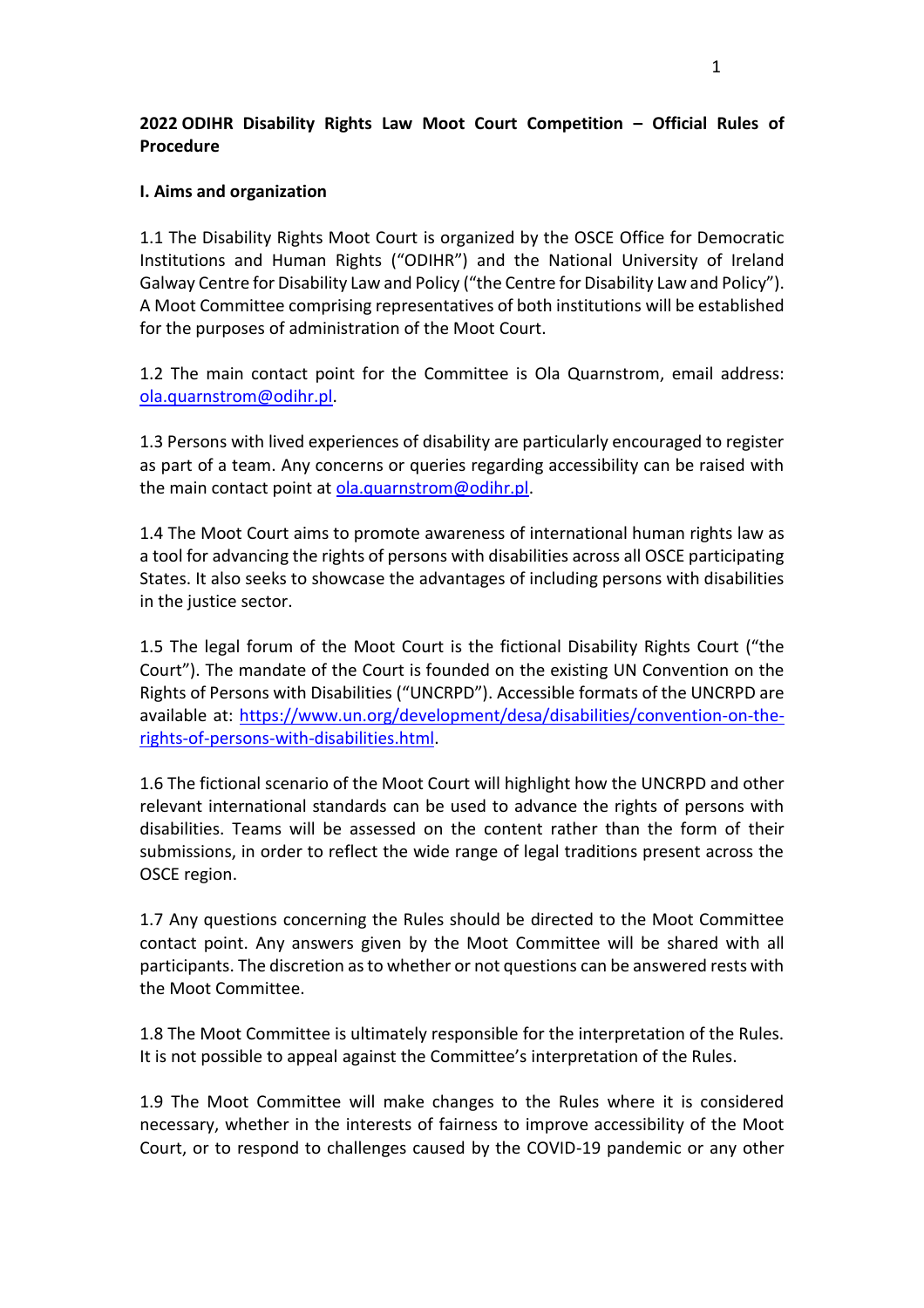# **2022 ODIHR Disability Rights Law Moot Court Competition – Official Rules of Procedure**

### **I. Aims and organization**

1.1 The Disability Rights Moot Court is organized by the OSCE Office for Democratic Institutions and Human Rights ("ODIHR") and the National University of Ireland Galway Centre for Disability Law and Policy ("the Centre for Disability Law and Policy"). A Moot Committee comprising representatives of both institutions will be established for the purposes of administration of the Moot Court.

1.2 The main contact point for the Committee is Ola Quarnstrom, email address: [ola.quarnstrom@odihr.pl.](mailto:ola.quarnstrom@odihr.pl)

1.3 Persons with lived experiences of disability are particularly encouraged to register as part of a team. Any concerns or queries regarding accessibility can be raised with the main contact point at [ola.quarnstrom@odihr.pl.](mailto:ola.quarnstrom@odihr.pl)

1.4 The Moot Court aims to promote awareness of international human rights law as a tool for advancing the rights of persons with disabilities across all OSCE participating States. It also seeks to showcase the advantages of including persons with disabilities in the justice sector.

1.5 The legal forum of the Moot Court is the fictional Disability Rights Court ("the Court"). The mandate of the Court is founded on the existing UN Convention on the Rights of Persons with Disabilities ("UNCRPD"). Accessible formats of the UNCRPD are available at: [https://www.un.org/development/desa/disabilities/convention-on-the](https://www.un.org/development/desa/disabilities/convention-on-the-rights-of-persons-with-disabilities.html)[rights-of-persons-with-disabilities.html.](https://www.un.org/development/desa/disabilities/convention-on-the-rights-of-persons-with-disabilities.html)

1.6 The fictional scenario of the Moot Court will highlight how the UNCRPD and other relevant international standards can be used to advance the rights of persons with disabilities. Teams will be assessed on the content rather than the form of their submissions, in order to reflect the wide range of legal traditions present across the OSCE region.

1.7 Any questions concerning the Rules should be directed to the Moot Committee contact point. Any answers given by the Moot Committee will be shared with all participants. The discretion as to whether or not questions can be answered rests with the Moot Committee.

1.8 The Moot Committee is ultimately responsible for the interpretation of the Rules. It is not possible to appeal against the Committee's interpretation of the Rules.

1.9 The Moot Committee will make changes to the Rules where it is considered necessary, whether in the interests of fairness to improve accessibility of the Moot Court, or to respond to challenges caused by the COVID-19 pandemic or any other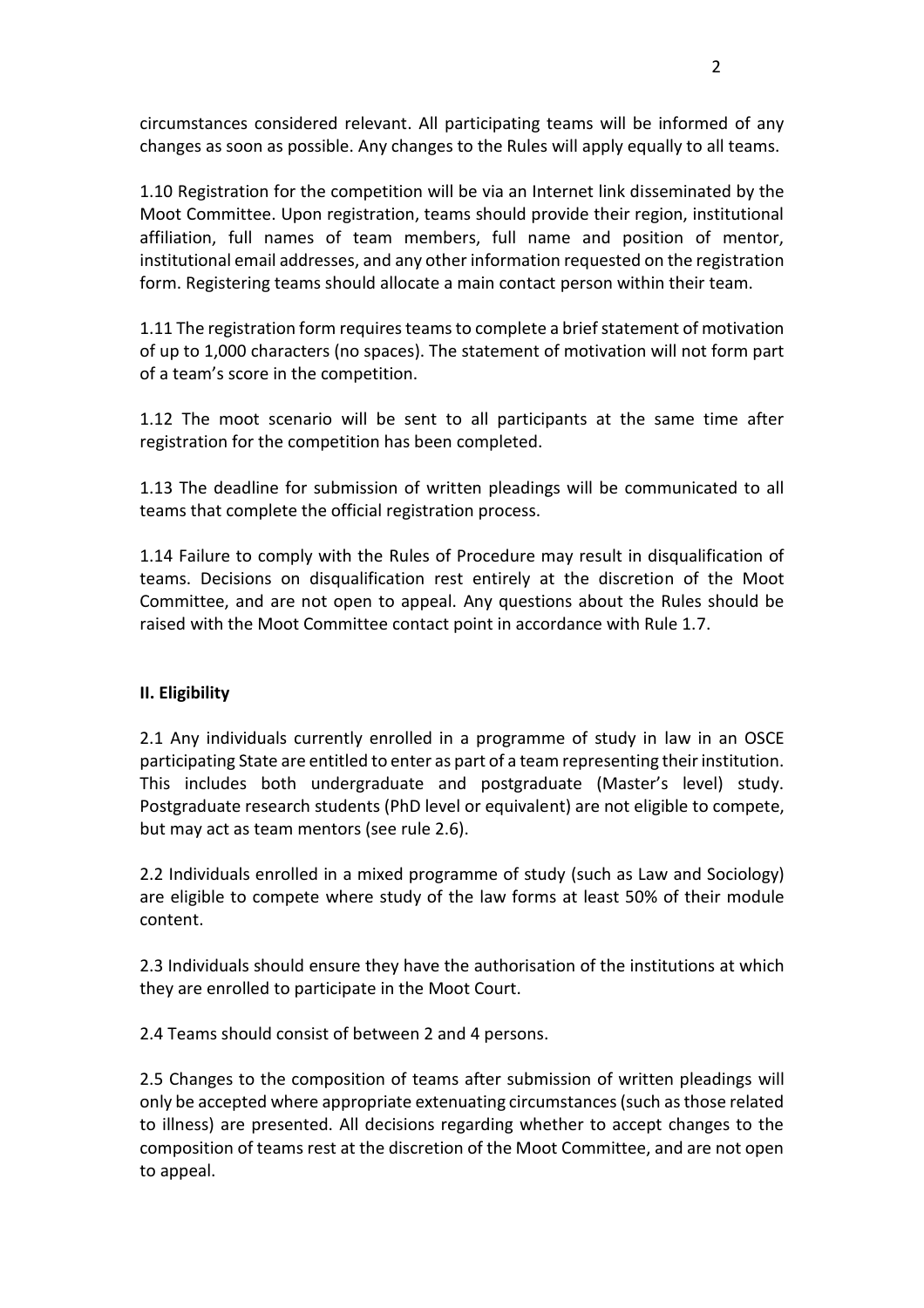circumstances considered relevant. All participating teams will be informed of any changes as soon as possible. Any changes to the Rules will apply equally to all teams.

1.10 Registration for the competition will be via an Internet link disseminated by the Moot Committee. Upon registration, teams should provide their region, institutional affiliation, full names of team members, full name and position of mentor, institutional email addresses, and any other information requested on the registration form. Registering teams should allocate a main contact person within their team.

1.11 The registration form requiresteams to complete a brief statement of motivation of up to 1,000 characters (no spaces). The statement of motivation will not form part of a team's score in the competition.

1.12 The moot scenario will be sent to all participants at the same time after registration for the competition has been completed.

1.13 The deadline for submission of written pleadings will be communicated to all teams that complete the official registration process.

1.14 Failure to comply with the Rules of Procedure may result in disqualification of teams. Decisions on disqualification rest entirely at the discretion of the Moot Committee, and are not open to appeal. Any questions about the Rules should be raised with the Moot Committee contact point in accordance with Rule 1.7.

## **II. Eligibility**

2.1 Any individuals currently enrolled in a programme of study in law in an OSCE participating State are entitled to enter as part of a team representing their institution. This includes both undergraduate and postgraduate (Master's level) study. Postgraduate research students (PhD level or equivalent) are not eligible to compete, but may act as team mentors (see rule 2.6).

2.2 Individuals enrolled in a mixed programme of study (such as Law and Sociology) are eligible to compete where study of the law forms at least 50% of their module content.

2.3 Individuals should ensure they have the authorisation of the institutions at which they are enrolled to participate in the Moot Court.

2.4 Teams should consist of between 2 and 4 persons.

2.5 Changes to the composition of teams after submission of written pleadings will only be accepted where appropriate extenuating circumstances (such as those related to illness) are presented. All decisions regarding whether to accept changes to the composition of teams rest at the discretion of the Moot Committee, and are not open to appeal.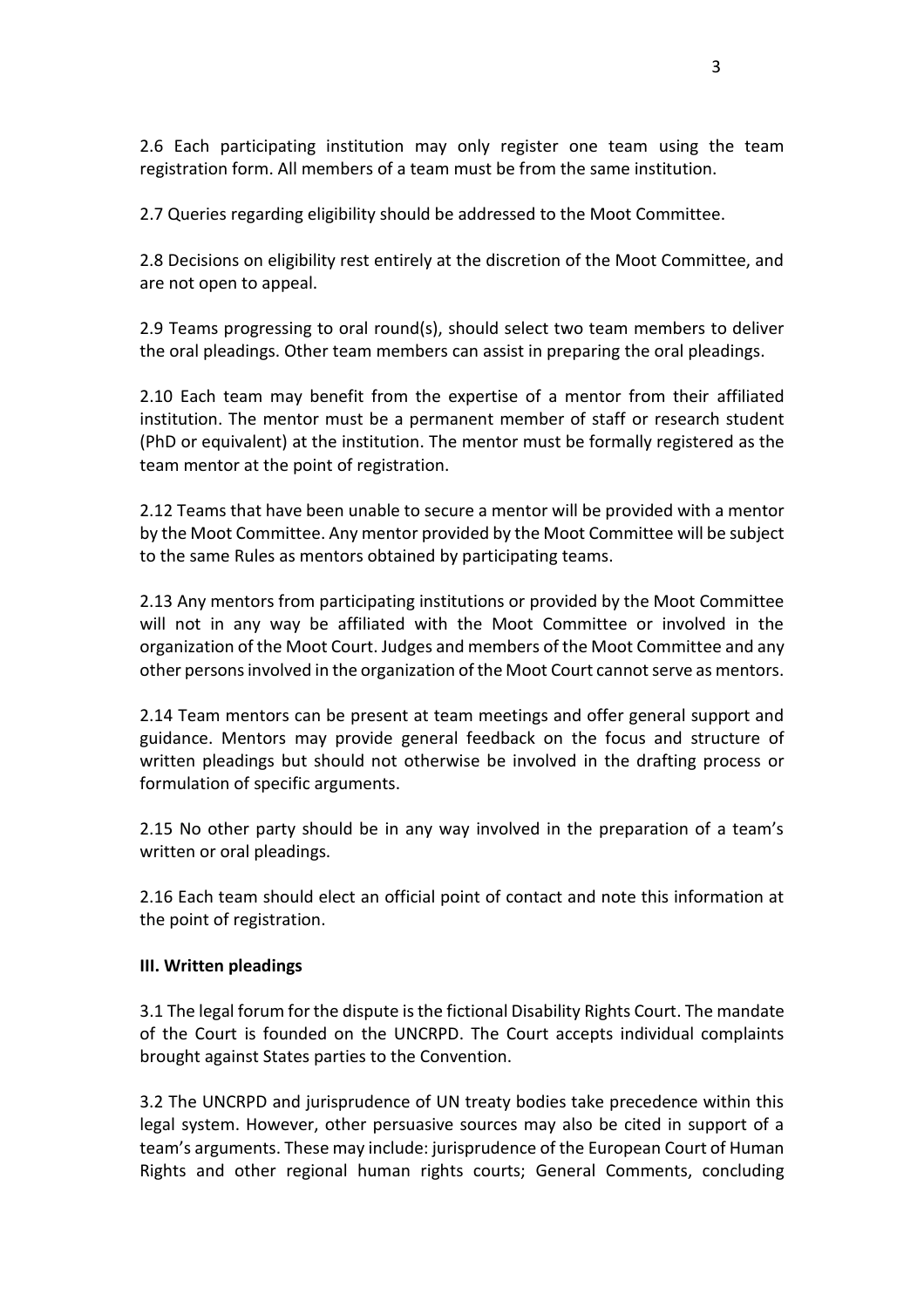2.6 Each participating institution may only register one team using the team registration form. All members of a team must be from the same institution.

2.7 Queries regarding eligibility should be addressed to the Moot Committee.

2.8 Decisions on eligibility rest entirely at the discretion of the Moot Committee, and are not open to appeal.

2.9 Teams progressing to oral round(s), should select two team members to deliver the oral pleadings. Other team members can assist in preparing the oral pleadings.

2.10 Each team may benefit from the expertise of a mentor from their affiliated institution. The mentor must be a permanent member of staff or research student (PhD or equivalent) at the institution. The mentor must be formally registered as the team mentor at the point of registration.

2.12 Teams that have been unable to secure a mentor will be provided with a mentor by the Moot Committee. Any mentor provided by the Moot Committee will be subject to the same Rules as mentors obtained by participating teams.

2.13 Any mentors from participating institutions or provided by the Moot Committee will not in any way be affiliated with the Moot Committee or involved in the organization of the Moot Court. Judges and members of the Moot Committee and any other persons involved in the organization of the Moot Court cannot serve as mentors.

2.14 Team mentors can be present at team meetings and offer general support and guidance. Mentors may provide general feedback on the focus and structure of written pleadings but should not otherwise be involved in the drafting process or formulation of specific arguments.

2.15 No other party should be in any way involved in the preparation of a team's written or oral pleadings.

2.16 Each team should elect an official point of contact and note this information at the point of registration.

#### **III. Written pleadings**

3.1 The legal forum for the dispute is the fictional Disability Rights Court. The mandate of the Court is founded on the UNCRPD. The Court accepts individual complaints brought against States parties to the Convention.

3.2 The UNCRPD and jurisprudence of UN treaty bodies take precedence within this legal system. However, other persuasive sources may also be cited in support of a team's arguments. These may include: jurisprudence of the European Court of Human Rights and other regional human rights courts; General Comments, concluding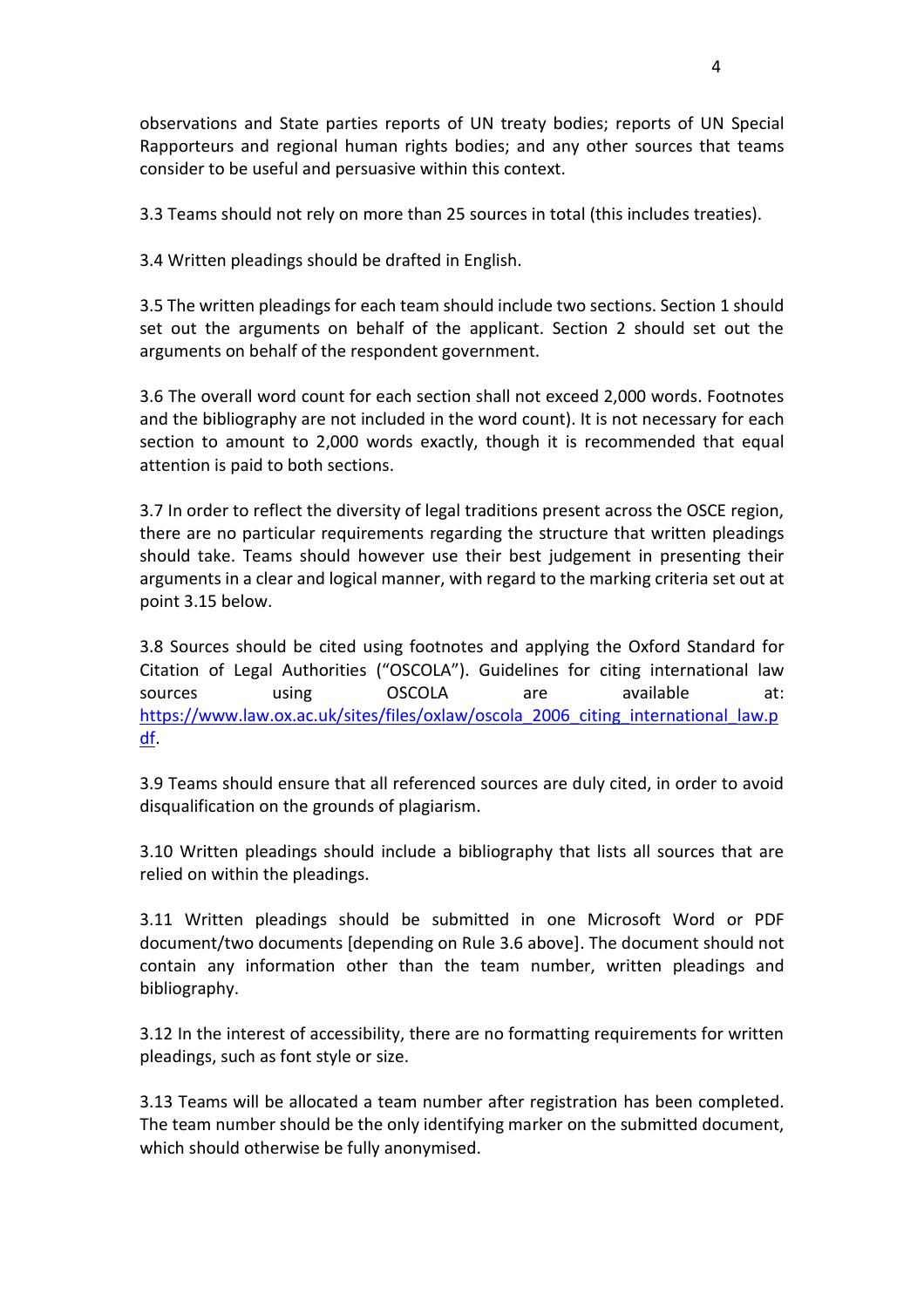observations and State parties reports of UN treaty bodies; reports of UN Special Rapporteurs and regional human rights bodies; and any other sources that teams consider to be useful and persuasive within this context.

3.3 Teams should not rely on more than 25 sources in total (this includes treaties).

3.4 Written pleadings should be drafted in English.

3.5 The written pleadings for each team should include two sections. Section 1 should set out the arguments on behalf of the applicant. Section 2 should set out the arguments on behalf of the respondent government.

3.6 The overall word count for each section shall not exceed 2,000 words. Footnotes and the bibliography are not included in the word count). It is not necessary for each section to amount to 2,000 words exactly, though it is recommended that equal attention is paid to both sections.

3.7 In order to reflect the diversity of legal traditions present across the OSCE region, there are no particular requirements regarding the structure that written pleadings should take. Teams should however use their best judgement in presenting their arguments in a clear and logical manner, with regard to the marking criteria set out at point 3.15 below.

3.8 Sources should be cited using footnotes and applying the Oxford Standard for Citation of Legal Authorities ("OSCOLA"). Guidelines for citing international law sources using OSCOLA are available at: [https://www.law.ox.ac.uk/sites/files/oxlaw/oscola\\_2006\\_citing\\_international\\_law.p](https://www.law.ox.ac.uk/sites/files/oxlaw/oscola_2006_citing_international_law.pdf) [df.](https://www.law.ox.ac.uk/sites/files/oxlaw/oscola_2006_citing_international_law.pdf)

3.9 Teams should ensure that all referenced sources are duly cited, in order to avoid disqualification on the grounds of plagiarism.

3.10 Written pleadings should include a bibliography that lists all sources that are relied on within the pleadings.

3.11 Written pleadings should be submitted in one Microsoft Word or PDF document/two documents [depending on Rule 3.6 above]. The document should not contain any information other than the team number, written pleadings and bibliography.

3.12 In the interest of accessibility, there are no formatting requirements for written pleadings, such as font style or size.

3.13 Teams will be allocated a team number after registration has been completed. The team number should be the only identifying marker on the submitted document, which should otherwise be fully anonymised.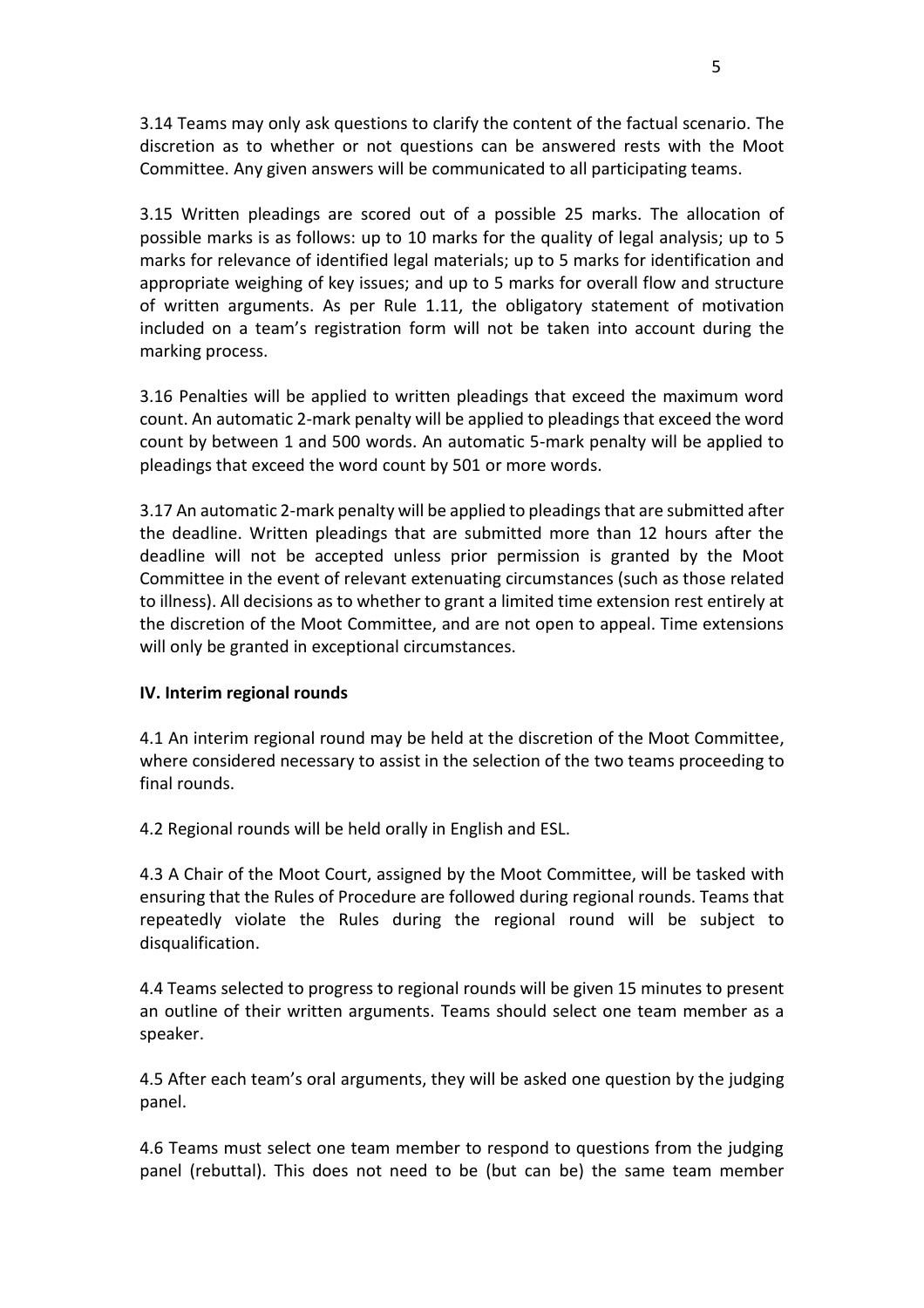3.14 Teams may only ask questions to clarify the content of the factual scenario. The discretion as to whether or not questions can be answered rests with the Moot Committee. Any given answers will be communicated to all participating teams.

3.15 Written pleadings are scored out of a possible 25 marks. The allocation of possible marks is as follows: up to 10 marks for the quality of legal analysis; up to 5 marks for relevance of identified legal materials; up to 5 marks for identification and appropriate weighing of key issues; and up to 5 marks for overall flow and structure of written arguments. As per Rule 1.11, the obligatory statement of motivation included on a team's registration form will not be taken into account during the marking process.

3.16 Penalties will be applied to written pleadings that exceed the maximum word count. An automatic 2-mark penalty will be applied to pleadings that exceed the word count by between 1 and 500 words. An automatic 5-mark penalty will be applied to pleadings that exceed the word count by 501 or more words.

3.17 An automatic 2-mark penalty will be applied to pleadings that are submitted after the deadline. Written pleadings that are submitted more than 12 hours after the deadline will not be accepted unless prior permission is granted by the Moot Committee in the event of relevant extenuating circumstances (such as those related to illness). All decisions as to whether to grant a limited time extension rest entirely at the discretion of the Moot Committee, and are not open to appeal. Time extensions will only be granted in exceptional circumstances.

#### **IV. Interim regional rounds**

4.1 An interim regional round may be held at the discretion of the Moot Committee, where considered necessary to assist in the selection of the two teams proceeding to final rounds.

4.2 Regional rounds will be held orally in English and ESL.

4.3 A Chair of the Moot Court, assigned by the Moot Committee, will be tasked with ensuring that the Rules of Procedure are followed during regional rounds. Teams that repeatedly violate the Rules during the regional round will be subject to disqualification.

4.4 Teams selected to progress to regional rounds will be given 15 minutes to present an outline of their written arguments. Teams should select one team member as a speaker.

4.5 After each team's oral arguments, they will be asked one question by the judging panel.

4.6 Teams must select one team member to respond to questions from the judging panel (rebuttal). This does not need to be (but can be) the same team member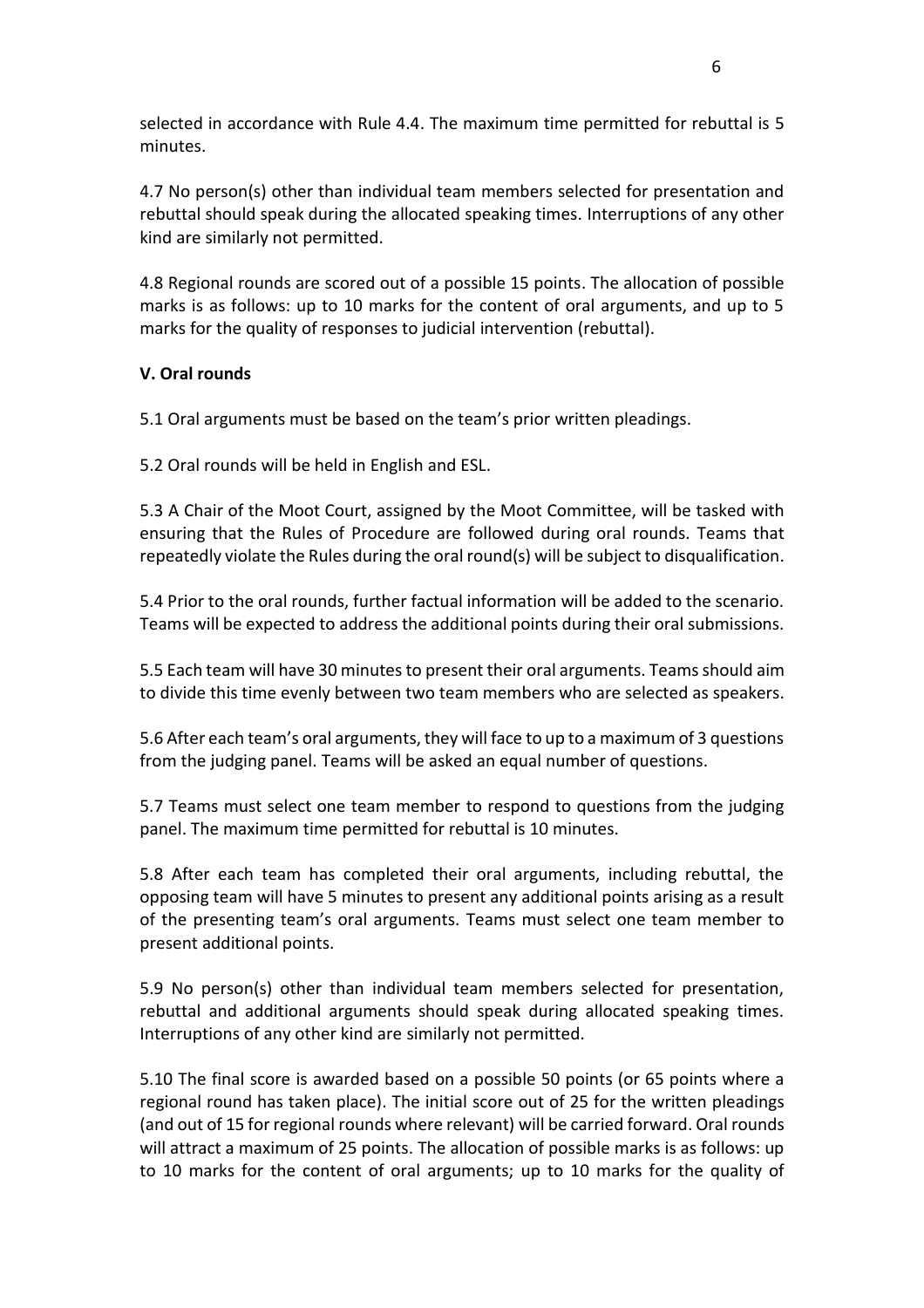selected in accordance with Rule 4.4. The maximum time permitted for rebuttal is 5 minutes.

4.7 No person(s) other than individual team members selected for presentation and rebuttal should speak during the allocated speaking times. Interruptions of any other kind are similarly not permitted.

4.8 Regional rounds are scored out of a possible 15 points. The allocation of possible marks is as follows: up to 10 marks for the content of oral arguments, and up to 5 marks for the quality of responses to judicial intervention (rebuttal).

## **V. Oral rounds**

5.1 Oral arguments must be based on the team's prior written pleadings.

5.2 Oral rounds will be held in English and ESL.

5.3 A Chair of the Moot Court, assigned by the Moot Committee, will be tasked with ensuring that the Rules of Procedure are followed during oral rounds. Teams that repeatedly violate the Rules during the oral round(s) will be subject to disqualification.

5.4 Prior to the oral rounds, further factual information will be added to the scenario. Teams will be expected to address the additional points during their oral submissions.

5.5 Each team will have 30 minutes to present their oral arguments. Teamsshould aim to divide this time evenly between two team members who are selected as speakers.

5.6 After each team's oral arguments, they will face to up to a maximum of 3 questions from the judging panel. Teams will be asked an equal number of questions.

5.7 Teams must select one team member to respond to questions from the judging panel. The maximum time permitted for rebuttal is 10 minutes.

5.8 After each team has completed their oral arguments, including rebuttal, the opposing team will have 5 minutes to present any additional points arising as a result of the presenting team's oral arguments. Teams must select one team member to present additional points.

5.9 No person(s) other than individual team members selected for presentation, rebuttal and additional arguments should speak during allocated speaking times. Interruptions of any other kind are similarly not permitted.

5.10 The final score is awarded based on a possible 50 points (or 65 points where a regional round has taken place). The initial score out of 25 for the written pleadings (and out of 15 for regional rounds where relevant) will be carried forward. Oral rounds will attract a maximum of 25 points. The allocation of possible marks is as follows: up to 10 marks for the content of oral arguments; up to 10 marks for the quality of